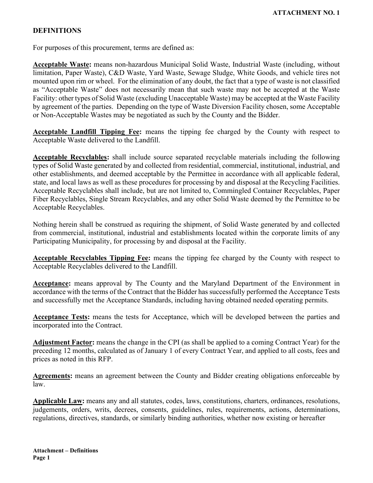## **DEFINITIONS**

For purposes of this procurement, terms are defined as:

**Acceptable Waste:** means non-hazardous Municipal Solid Waste, Industrial Waste (including, without limitation, Paper Waste), C&D Waste, Yard Waste, Sewage Sludge, White Goods, and vehicle tires not mounted upon rim or wheel. For the elimination of any doubt, the fact that a type of waste is not classified as "Acceptable Waste" does not necessarily mean that such waste may not be accepted at the Waste Facility: other types of Solid Waste (excluding Unacceptable Waste) may be accepted at the Waste Facility by agreement of the parties. Depending on the type of Waste Diversion Facility chosen, some Acceptable or Non-Acceptable Wastes may be negotiated as such by the County and the Bidder.

**Acceptable Landfill Tipping Fee:** means the tipping fee charged by the County with respect to Acceptable Waste delivered to the Landfill.

**Acceptable Recyclables:** shall include source separated recyclable materials including the following types of Solid Waste generated by and collected from residential, commercial, institutional, industrial, and other establishments, and deemed acceptable by the Permittee in accordance with all applicable federal, state, and local laws as well as these procedures for processing by and disposal at the Recycling Facilities. Acceptable Recyclables shall include, but are not limited to, Commingled Container Recyclables, Paper Fiber Recyclables, Single Stream Recyclables, and any other Solid Waste deemed by the Permittee to be Acceptable Recyclables.

Nothing herein shall be construed as requiring the shipment, of Solid Waste generated by and collected from commercial, institutional, industrial and establishments located within the corporate limits of any Participating Municipality, for processing by and disposal at the Facility.

**Acceptable Recyclables Tipping Fee:** means the tipping fee charged by the County with respect to Acceptable Recyclables delivered to the Landfill.

**Acceptance:** means approval by The County and the Maryland Department of the Environment in accordance with the terms of the Contract that the Bidder has successfully performed the Acceptance Tests and successfully met the Acceptance Standards, including having obtained needed operating permits.

**Acceptance Tests:** means the tests for Acceptance, which will be developed between the parties and incorporated into the Contract.

**Adjustment Factor:** means the change in the CPI (as shall be applied to a coming Contract Year) for the preceding 12 months, calculated as of January 1 of every Contract Year, and applied to all costs, fees and prices as noted in this RFP.

**Agreements:** means an agreement between the County and Bidder creating obligations enforceable by law.

**Applicable Law:** means any and all statutes, codes, laws, constitutions, charters, ordinances, resolutions, judgements, orders, writs, decrees, consents, guidelines, rules, requirements, actions, determinations, regulations, directives, standards, or similarly binding authorities, whether now existing or hereafter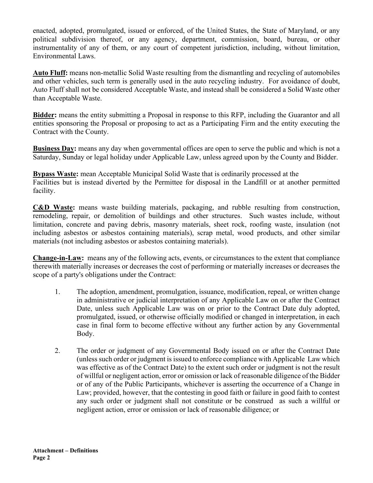enacted, adopted, promulgated, issued or enforced, of the United States, the State of Maryland, or any political subdivision thereof, or any agency, department, commission, board, bureau, or other instrumentality of any of them, or any court of competent jurisdiction, including, without limitation, Environmental Laws.

**Auto Fluff:** means non-metallic Solid Waste resulting from the dismantling and recycling of automobiles and other vehicles, such term is generally used in the auto recycling industry. For avoidance of doubt, Auto Fluff shall not be considered Acceptable Waste, and instead shall be considered a Solid Waste other than Acceptable Waste.

**Bidder:** means the entity submitting a Proposal in response to this RFP, including the Guarantor and all entities sponsoring the Proposal or proposing to act as a Participating Firm and the entity executing the Contract with the County.

**Business Day:** means any day when governmental offices are open to serve the public and which is not a Saturday, Sunday or legal holiday under Applicable Law, unless agreed upon by the County and Bidder.

**Bypass Waste:** mean Acceptable Municipal Solid Waste that is ordinarily processed at the Facilities but is instead diverted by the Permittee for disposal in the Landfill or at another permitted facility.

**C&D Waste:** means waste building materials, packaging, and rubble resulting from construction, remodeling, repair, or demolition of buildings and other structures. Such wastes include, without limitation, concrete and paving debris, masonry materials, sheet rock, roofing waste, insulation (not including asbestos or asbestos containing materials), scrap metal, wood products, and other similar materials (not including asbestos or asbestos containing materials).

**Change-in-Law:** means any of the following acts, events, or circumstances to the extent that compliance therewith materially increases or decreases the cost of performing or materially increases or decreases the scope of a party's obligations under the Contract:

- 1. The adoption, amendment, promulgation, issuance, modification, repeal, or written change in administrative or judicial interpretation of any Applicable Law on or after the Contract Date, unless such Applicable Law was on or prior to the Contract Date duly adopted, promulgated, issued, or otherwise officially modified or changed in interpretation, in each case in final form to become effective without any further action by any Governmental Body.
- 2. The order or judgment of any Governmental Body issued on or after the Contract Date (unless such order or judgment is issued to enforce compliance with Applicable Law which was effective as of the Contract Date) to the extent such order or judgment is not the result of willful or negligent action, error or omission or lack of reasonable diligence of the Bidder or of any of the Public Participants, whichever is asserting the occurrence of a Change in Law; provided, however, that the contesting in good faith or failure in good faith to contest any such order or judgment shall not constitute or be construed as such a willful or negligent action, error or omission or lack of reasonable diligence; or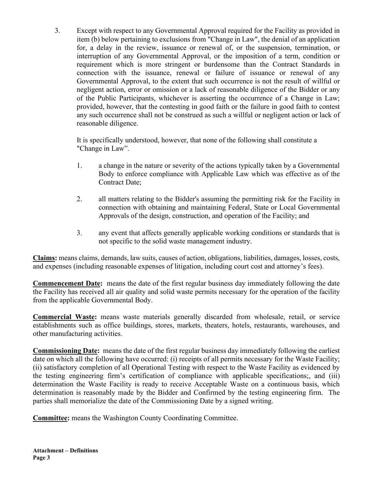3. Except with respect to any Governmental Approval required for the Facility as provided in item (b) below pertaining to exclusions from "Change in Law", the denial of an application for, a delay in the review, issuance or renewal of, or the suspension, termination, or interruption of any Governmental Approval, or the imposition of a term, condition or requirement which is more stringent or burdensome than the Contract Standards in connection with the issuance, renewal or failure of issuance or renewal of any Governmental Approval, to the extent that such occurrence is not the result of willful or negligent action, error or omission or a lack of reasonable diligence of the Bidder or any of the Public Participants, whichever is asserting the occurrence of a Change in Law; provided, however, that the contesting in good faith or the failure in good faith to contest any such occurrence shall not be construed as such a willful or negligent action or lack of reasonable diligence.

It is specifically understood, however, that none of the following shall constitute a "Change in Law".

- 1. a change in the nature or severity of the actions typically taken by a Governmental Body to enforce compliance with Applicable Law which was effective as of the Contract Date;
- 2. all matters relating to the Bidder's assuming the permitting risk for the Facility in connection with obtaining and maintaining Federal, State or Local Governmental Approvals of the design, construction, and operation of the Facility; and
- 3. any event that affects generally applicable working conditions or standards that is not specific to the solid waste management industry.

**Claims:** means claims, demands, law suits, causes of action, obligations, liabilities, damages, losses, costs, and expenses (including reasonable expenses of litigation, including court cost and attorney's fees).

**Commencement Date:** means the date of the first regular business day immediately following the date the Facility has received all air quality and solid waste permits necessary for the operation of the facility from the applicable Governmental Body.

**Commercial Waste:** means waste materials generally discarded from wholesale, retail, or service establishments such as office buildings, stores, markets, theaters, hotels, restaurants, warehouses, and other manufacturing activities.

**Commissioning Date:** means the date of the first regular business day immediately following the earliest date on which all the following have occurred: (i) receipts of all permits necessary for the Waste Facility; (ii) satisfactory completion of all Operational Testing with respect to the Waste Facility as evidenced by the testing engineering firm's certification of compliance with applicable specifications;, and (iii) determination the Waste Facility is ready to receive Acceptable Waste on a continuous basis, which determination is reasonably made by the Bidder and Confirmed by the testing engineering firm. The parties shall memorialize the date of the Commissioning Date by a signed writing.

**Committee:** means the Washington County Coordinating Committee.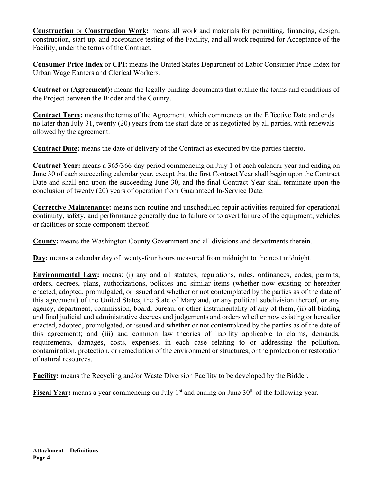**Construction** or **Construction Work:** means all work and materials for permitting, financing, design, construction, start-up, and acceptance testing of the Facility, and all work required for Acceptance of the Facility, under the terms of the Contract.

**Consumer Price Index** or **CPI:** means the United States Department of Labor Consumer Price Index for Urban Wage Earners and Clerical Workers.

**Contract** or **(Agreement):** means the legally binding documents that outline the terms and conditions of the Project between the Bidder and the County.

**Contract Term:** means the terms of the Agreement, which commences on the Effective Date and ends no later than July 31, twenty (20) years from the start date or as negotiated by all parties, with renewals allowed by the agreement.

**Contract Date:** means the date of delivery of the Contract as executed by the parties thereto.

**Contract Year:** means a 365/366-day period commencing on July 1 of each calendar year and ending on June 30 of each succeeding calendar year, except that the first Contract Year shall begin upon the Contract Date and shall end upon the succeeding June 30, and the final Contract Year shall terminate upon the conclusion of twenty (20) years of operation from Guaranteed In-Service Date.

**Corrective Maintenance:** means non-routine and unscheduled repair activities required for operational continuity, safety, and performance generally due to failure or to avert failure of the equipment, vehicles or facilities or some component thereof.

**County:** means the Washington County Government and all divisions and departments therein.

**Day:** means a calendar day of twenty-four hours measured from midnight to the next midnight.

**Environmental Law:** means: (i) any and all statutes, regulations, rules, ordinances, codes, permits, orders, decrees, plans, authorizations, policies and similar items (whether now existing or hereafter enacted, adopted, promulgated, or issued and whether or not contemplated by the parties as of the date of this agreement) of the United States, the State of Maryland, or any political subdivision thereof, or any agency, department, commission, board, bureau, or other instrumentality of any of them, (ii) all binding and final judicial and administrative decrees and judgements and orders whether now existing or hereafter enacted, adopted, promulgated, or issued and whether or not contemplated by the parties as of the date of this agreement); and (iii) and common law theories of liability applicable to claims, demands, requirements, damages, costs, expenses, in each case relating to or addressing the pollution, contamination, protection, or remediation of the environment or structures, or the protection or restoration of natural resources.

**Facility:** means the Recycling and/or Waste Diversion Facility to be developed by the Bidder.

**Fiscal Year:** means a year commencing on July 1<sup>st</sup> and ending on June 30<sup>th</sup> of the following year.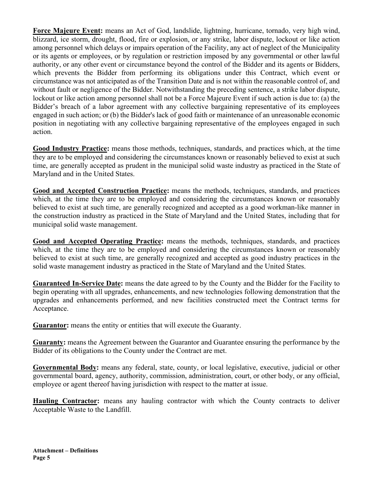**Force Majeure Event:** means an Act of God, landslide, lightning, hurricane, tornado, very high wind, blizzard, ice storm, drought, flood, fire or explosion, or any strike, labor dispute, lockout or like action among personnel which delays or impairs operation of the Facility, any act of neglect of the Municipality or its agents or employees, or by regulation or restriction imposed by any governmental or other lawful authority, or any other event or circumstance beyond the control of the Bidder and its agents or Bidders, which prevents the Bidder from performing its obligations under this Contract, which event or circumstance was not anticipated as of the Transition Date and is not within the reasonable control of, and without fault or negligence of the Bidder. Notwithstanding the preceding sentence, a strike labor dispute, lockout or like action among personnel shall not be a Force Majeure Event if such action is due to: (a) the Bidder's breach of a labor agreement with any collective bargaining representative of its employees engaged in such action; or (b) the Bidder's lack of good faith or maintenance of an unreasonable economic position in negotiating with any collective bargaining representative of the employees engaged in such action.

**Good Industry Practice:** means those methods, techniques, standards, and practices which, at the time they are to be employed and considering the circumstances known or reasonably believed to exist at such time, are generally accepted as prudent in the municipal solid waste industry as practiced in the State of Maryland and in the United States.

**Good and Accepted Construction Practice:** means the methods, techniques, standards, and practices which, at the time they are to be employed and considering the circumstances known or reasonably believed to exist at such time, are generally recognized and accepted as a good workman-like manner in the construction industry as practiced in the State of Maryland and the United States, including that for municipal solid waste management.

**Good and Accepted Operating Practice:** means the methods, techniques, standards, and practices which, at the time they are to be employed and considering the circumstances known or reasonably believed to exist at such time, are generally recognized and accepted as good industry practices in the solid waste management industry as practiced in the State of Maryland and the United States.

**Guaranteed In-Service Date:** means the date agreed to by the County and the Bidder for the Facility to begin operating with all upgrades, enhancements, and new technologies following demonstration that the upgrades and enhancements performed, and new facilities constructed meet the Contract terms for Acceptance.

**Guarantor:** means the entity or entities that will execute the Guaranty.

**Guaranty:** means the Agreement between the Guarantor and Guarantee ensuring the performance by the Bidder of its obligations to the County under the Contract are met.

**Governmental Body:** means any federal, state, county, or local legislative, executive, judicial or other governmental board, agency, authority, commission, administration, court, or other body, or any official, employee or agent thereof having jurisdiction with respect to the matter at issue.

**Hauling Contractor:** means any hauling contractor with which the County contracts to deliver Acceptable Waste to the Landfill.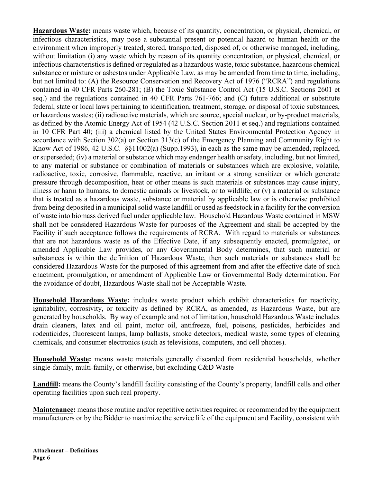**Hazardous Waste:** means waste which, because of its quantity, concentration, or physical, chemical, or infectious characteristics, may pose a substantial present or potential hazard to human health or the environment when improperly treated, stored, transported, disposed of, or otherwise managed, including, without limitation (i) any waste which by reason of its quantity concentration, or physical, chemical, or infectious characteristics is defined or regulated as a hazardous waste, toxic substance, hazardous chemical substance or mixture or asbestos under Applicable Law, as may be amended from time to time, including, but not limited to: (A) the Resource Conservation and Recovery Act of 1976 ("RCRA") and regulations contained in 40 CFR Parts 260-281; (B) the Toxic Substance Control Act (15 U.S.C. Sections 2601 et seq.) and the regulations contained in 40 CFR Parts 761-766; and (C) future additional or substitute federal, state or local laws pertaining to identification, treatment, storage, or disposal of toxic substances, or hazardous wastes; (ii) radioactive materials, which are source, special nuclear, or by-product materials, as defined by the Atomic Energy Act of 1954 (42 U.S.C. Section 2011 et seq.) and regulations contained in 10 CFR Part 40; (iii) a chemical listed by the United States Environmental Protection Agency in accordance with Section 302(a) or Section 313(c) of the Emergency Planning and Community Right to Know Act of 1986, 42 U.S.C. §§11002(a) (Supp.1993), in each as the same may be amended, replaced, or superseded; (iv) a material or substance which may endanger health or safety, including, but not limited, to any material or substance or combination of materials or substances which are explosive, volatile, radioactive, toxic, corrosive, flammable, reactive, an irritant or a strong sensitizer or which generate pressure through decomposition, heat or other means is such materials or substances may cause injury, illness or harm to humans, to domestic animals or livestock, or to wildlife; or  $(v)$  a material or substance that is treated as a hazardous waste, substance or material by applicable law or is otherwise prohibited from being deposited in a municipal solid waste landfill or used as feedstock in a facility for the conversion of waste into biomass derived fuel under applicable law. Household Hazardous Waste contained in MSW shall not be considered Hazardous Waste for purposes of the Agreement and shall be accepted by the Facility if such acceptance follows the requirements of RCRA. With regard to materials or substances that are not hazardous waste as of the Effective Date, if any subsequently enacted, promulgated, or amended Applicable Law provides, or any Governmental Body determines, that such material or substances is within the definition of Hazardous Waste, then such materials or substances shall be considered Hazardous Waste for the purposed of this agreement from and after the effective date of such enactment, promulgation, or amendment of Applicable Law or Governmental Body determination. For the avoidance of doubt, Hazardous Waste shall not be Acceptable Waste.

**Household Hazardous Waste:** includes waste product which exhibit characteristics for reactivity, ignitability, corrosivity, or toxicity as defined by RCRA, as amended, as Hazardous Waste, but are generated by households. By way of example and not of limitation, household Hazardous Waste includes drain cleaners, latex and oil paint, motor oil, antifreeze, fuel, poisons, pesticides, herbicides and rodenticides, fluorescent lamps, lamp ballasts, smoke detectors, medical waste, some types of cleaning chemicals, and consumer electronics (such as televisions, computers, and cell phones).

**Household Waste:** means waste materials generally discarded from residential households, whether single-family, multi-family, or otherwise, but excluding C&D Waste

**Landfill:** means the County's landfill facility consisting of the County's property, landfill cells and other operating facilities upon such real property.

**Maintenance:** means those routine and/or repetitive activities required or recommended by the equipment manufacturers or by the Bidder to maximize the service life of the equipment and Facility, consistent with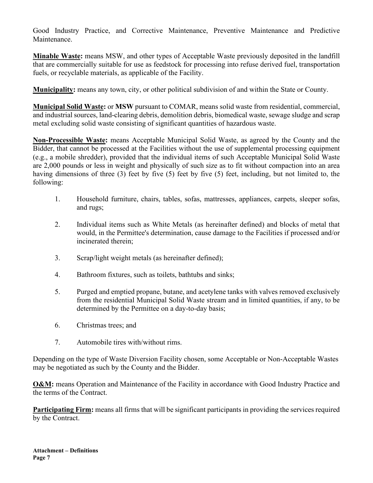Good Industry Practice, and Corrective Maintenance, Preventive Maintenance and Predictive Maintenance.

**Minable Waste:** means MSW, and other types of Acceptable Waste previously deposited in the landfill that are commercially suitable for use as feedstock for processing into refuse derived fuel, transportation fuels, or recyclable materials, as applicable of the Facility.

**Municipality:** means any town, city, or other political subdivision of and within the State or County.

**Municipal Solid Waste:** or **MSW** pursuant to COMAR, means solid waste from residential, commercial, and industrial sources, land-clearing debris, demolition debris, biomedical waste, sewage sludge and scrap metal excluding solid waste consisting of significant quantities of hazardous waste.

**Non-Processible Waste:** means Acceptable Municipal Solid Waste, as agreed by the County and the Bidder, that cannot be processed at the Facilities without the use of supplemental processing equipment (e.g., a mobile shredder), provided that the individual items of such Acceptable Municipal Solid Waste are 2,000 pounds or less in weight and physically of such size as to fit without compaction into an area having dimensions of three (3) feet by five (5) feet by five (5) feet, including, but not limited to, the following:

- 1. Household furniture, chairs, tables, sofas, mattresses, appliances, carpets, sleeper sofas, and rugs;
- 2. Individual items such as White Metals (as hereinafter defined) and blocks of metal that would, in the Permittee's determination, cause damage to the Facilities if processed and/or incinerated therein;
- 3. Scrap/light weight metals (as hereinafter defined);
- 4. Bathroom fixtures, such as toilets, bathtubs and sinks;
- 5. Purged and emptied propane, butane, and acetylene tanks with valves removed exclusively from the residential Municipal Solid Waste stream and in limited quantities, if any, to be determined by the Permittee on a day-to-day basis;
- 6. Christmas trees; and
- 7. Automobile tires with/without rims.

Depending on the type of Waste Diversion Facility chosen, some Acceptable or Non-Acceptable Wastes may be negotiated as such by the County and the Bidder.

**O&M:** means Operation and Maintenance of the Facility in accordance with Good Industry Practice and the terms of the Contract.

**Participating Firm:** means all firms that will be significant participants in providing the services required by the Contract.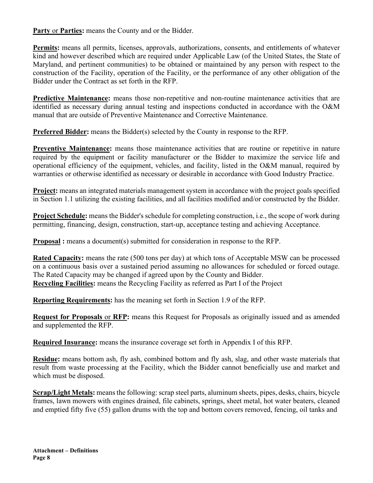**Party** or **Parties:** means the County and or the Bidder.

**Permits:** means all permits, licenses, approvals, authorizations, consents, and entitlements of whatever kind and however described which are required under Applicable Law (of the United States, the State of Maryland, and pertinent communities) to be obtained or maintained by any person with respect to the construction of the Facility, operation of the Facility, or the performance of any other obligation of the Bidder under the Contract as set forth in the RFP.

**Predictive Maintenance:** means those non-repetitive and non-routine maintenance activities that are identified as necessary during annual testing and inspections conducted in accordance with the O&M manual that are outside of Preventive Maintenance and Corrective Maintenance.

**Preferred Bidder:** means the Bidder(s) selected by the County in response to the RFP.

**Preventive Maintenance:** means those maintenance activities that are routine or repetitive in nature required by the equipment or facility manufacturer or the Bidder to maximize the service life and operational efficiency of the equipment, vehicles, and facility, listed in the O&M manual, required by warranties or otherwise identified as necessary or desirable in accordance with Good Industry Practice.

**Project:** means an integrated materials management system in accordance with the project goals specified in Section 1.1 utilizing the existing facilities, and all facilities modified and/or constructed by the Bidder.

**Project Schedule:** means the Bidder's schedule for completing construction, i.e., the scope of work during permitting, financing, design, construction, start-up, acceptance testing and achieving Acceptance.

**Proposal**: means a document(s) submitted for consideration in response to the RFP.

**Rated Capacity:** means the rate (500 tons per day) at which tons of Acceptable MSW can be processed on a continuous basis over a sustained period assuming no allowances for scheduled or forced outage. The Rated Capacity may be changed if agreed upon by the County and Bidder. **Recycling Facilities:** means the Recycling Facility as referred as Part I of the Project

**Reporting Requirements:** has the meaning set forth in Section 1.9 of the RFP.

**Request for Proposals** or **RFP:** means this Request for Proposals as originally issued and as amended and supplemented the RFP.

**Required Insurance:** means the insurance coverage set forth in Appendix I of this RFP.

**Residue:** means bottom ash, fly ash, combined bottom and fly ash, slag, and other waste materials that result from waste processing at the Facility, which the Bidder cannot beneficially use and market and which must be disposed.

**Scrap/Light Metals:** means the following: scrap steel parts, aluminum sheets, pipes, desks, chairs, bicycle frames, lawn mowers with engines drained, file cabinets, springs, sheet metal, hot water beaters, cleaned and emptied fifty five (55) gallon drums with the top and bottom covers removed, fencing, oil tanks and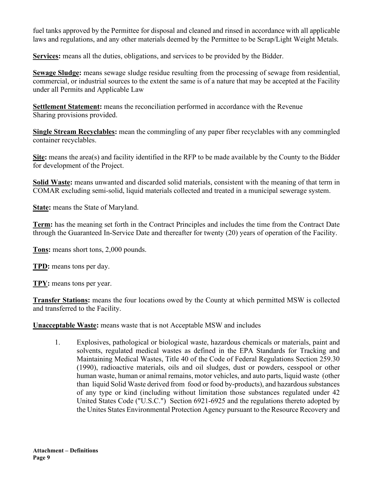fuel tanks approved by the Permittee for disposal and cleaned and rinsed in accordance with all applicable laws and regulations, and any other materials deemed by the Permittee to be Scrap/Light Weight Metals.

**Services:** means all the duties, obligations, and services to be provided by the Bidder.

**Sewage Sludge:** means sewage sludge residue resulting from the processing of sewage from residential, commercial, or industrial sources to the extent the same is of a nature that may be accepted at the Facility under all Permits and Applicable Law

**Settlement Statement:** means the reconciliation performed in accordance with the Revenue Sharing provisions provided.

**Single Stream Recyclables:** mean the commingling of any paper fiber recyclables with any commingled container recyclables.

**Site:** means the area(s) and facility identified in the RFP to be made available by the County to the Bidder for development of the Project.

**Solid Waste:** means unwanted and discarded solid materials, consistent with the meaning of that term in COMAR excluding semi-solid, liquid materials collected and treated in a municipal sewerage system.

**State:** means the State of Maryland.

**Term:** has the meaning set forth in the Contract Principles and includes the time from the Contract Date through the Guaranteed In-Service Date and thereafter for twenty (20) years of operation of the Facility.

**Tons:** means short tons, 2,000 pounds.

**TPD:** means tons per day.

**TPY:** means tons per year.

**Transfer Stations:** means the four locations owed by the County at which permitted MSW is collected and transferred to the Facility.

**Unacceptable Waste:** means waste that is not Acceptable MSW and includes

1. Explosives, pathological or biological waste, hazardous chemicals or materials, paint and solvents, regulated medical wastes as defined in the EPA Standards for Tracking and Maintaining Medical Wastes, Title 40 of the Code of Federal Regulations Section 259.30 (1990), radioactive materials, oils and oil sludges, dust or powders, cesspool or other human waste, human or animal remains, motor vehicles, and auto parts, liquid waste (other than liquid Solid Waste derived from food or food by-products), and hazardous substances of any type or kind (including without limitation those substances regulated under 42 United States Code ("U.S.C.") Section 6921-6925 and the regulations thereto adopted by the Unites States Environmental Protection Agency pursuant to the Resource Recovery and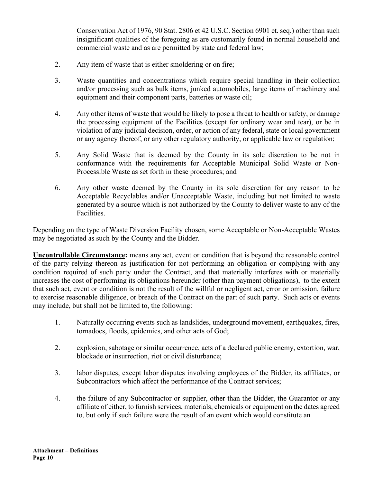Conservation Act of 1976, 90 Stat. 2806 et 42 U.S.C. Section 6901 et. seq.) other than such insignificant qualities of the foregoing as are customarily found in normal household and commercial waste and as are permitted by state and federal law;

- 2. Any item of waste that is either smoldering or on fire;
- 3. Waste quantities and concentrations which require special handling in their collection and/or processing such as bulk items, junked automobiles, large items of machinery and equipment and their component parts, batteries or waste oil;
- 4. Any other items of waste that would be likely to pose a threat to health or safety, or damage the processing equipment of the Facilities (except for ordinary wear and tear), or be in violation of any judicial decision, order, or action of any federal, state or local government or any agency thereof, or any other regulatory authority, or applicable law or regulation;
- 5. Any Solid Waste that is deemed by the County in its sole discretion to be not in conformance with the requirements for Acceptable Municipal Solid Waste or Non-Processible Waste as set forth in these procedures; and
- 6. Any other waste deemed by the County in its sole discretion for any reason to be Acceptable Recyclables and/or Unacceptable Waste, including but not limited to waste generated by a source which is not authorized by the County to deliver waste to any of the Facilities.

Depending on the type of Waste Diversion Facility chosen, some Acceptable or Non-Acceptable Wastes may be negotiated as such by the County and the Bidder.

**Uncontrollable Circumstance:** means any act, event or condition that is beyond the reasonable control of the party relying thereon as justification for not performing an obligation or complying with any condition required of such party under the Contract, and that materially interferes with or materially increases the cost of performing its obligations hereunder (other than payment obligations), to the extent that such act, event or condition is not the result of the willful or negligent act, error or omission, failure to exercise reasonable diligence, or breach of the Contract on the part of such party. Such acts or events may include, but shall not be limited to, the following:

- 1. Naturally occurring events such as landslides, underground movement, earthquakes, fires, tornadoes, floods, epidemics, and other acts of God;
- 2. explosion, sabotage or similar occurrence, acts of a declared public enemy, extortion, war, blockade or insurrection, riot or civil disturbance;
- 3. labor disputes, except labor disputes involving employees of the Bidder, its affiliates, or Subcontractors which affect the performance of the Contract services;
- 4. the failure of any Subcontractor or supplier, other than the Bidder, the Guarantor or any affiliate of either, to furnish services, materials, chemicals or equipment on the dates agreed to, but only if such failure were the result of an event which would constitute an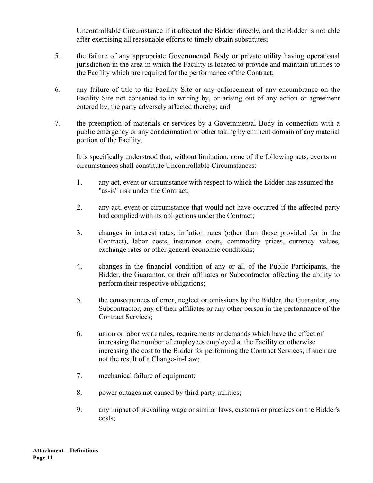Uncontrollable Circumstance if it affected the Bidder directly, and the Bidder is not able after exercising all reasonable efforts to timely obtain substitutes;

- 5. the failure of any appropriate Governmental Body or private utility having operational jurisdiction in the area in which the Facility is located to provide and maintain utilities to the Facility which are required for the performance of the Contract;
- 6. any failure of title to the Facility Site or any enforcement of any encumbrance on the Facility Site not consented to in writing by, or arising out of any action or agreement entered by, the party adversely affected thereby; and
- 7. the preemption of materials or services by a Governmental Body in connection with a public emergency or any condemnation or other taking by eminent domain of any material portion of the Facility.

It is specifically understood that, without limitation, none of the following acts, events or circumstances shall constitute Uncontrollable Circumstances:

- 1. any act, event or circumstance with respect to which the Bidder has assumed the "as-is" risk under the Contract;
- 2. any act, event or circumstance that would not have occurred if the affected party had complied with its obligations under the Contract;
- 3. changes in interest rates, inflation rates (other than those provided for in the Contract), labor costs, insurance costs, commodity prices, currency values, exchange rates or other general economic conditions;
- 4. changes in the financial condition of any or all of the Public Participants, the Bidder, the Guarantor, or their affiliates or Subcontractor affecting the ability to perform their respective obligations;
- 5. the consequences of error, neglect or omissions by the Bidder, the Guarantor, any Subcontractor, any of their affiliates or any other person in the performance of the Contract Services;
- 6. union or labor work rules, requirements or demands which have the effect of increasing the number of employees employed at the Facility or otherwise increasing the cost to the Bidder for performing the Contract Services, if such are not the result of a Change-in-Law;
- 7. mechanical failure of equipment;
- 8. power outages not caused by third party utilities;
- 9. any impact of prevailing wage or similar laws, customs or practices on the Bidder's costs;